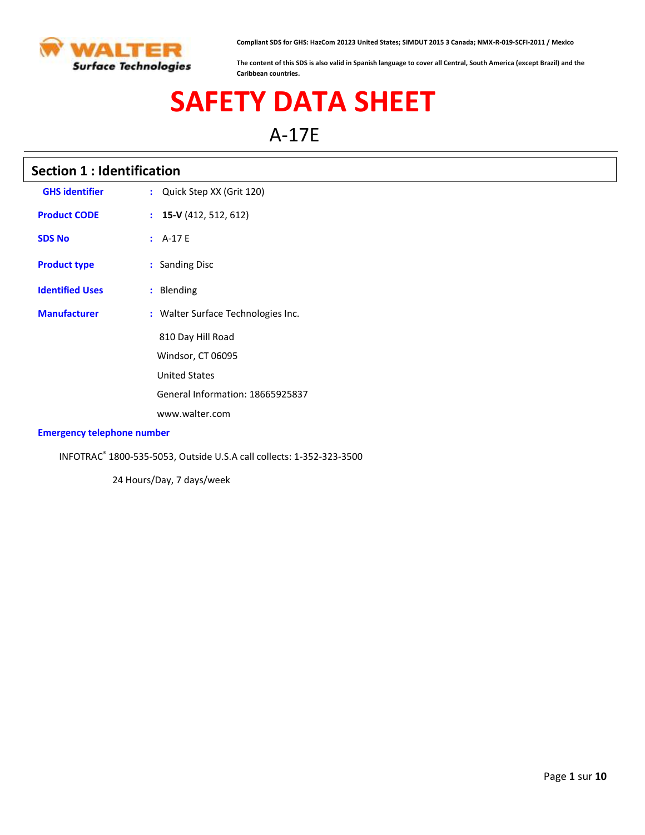

**Compliant SDS for GHS: HazCom 20123 United States; SIMDUT 2015 3 Canada; NMX-R-019-SCFI-2011 / Mexico**

**The content of this SDS is also valid in Spanish language to cover all Central, South America (except Brazil) and the Caribbean countries.**

# **SAFETY DATA SHEET**

A-17E

# **Section 1 : Identification**

| <b>GHS identifier</b>                                      | : Quick Step XX (Grit 120)         |
|------------------------------------------------------------|------------------------------------|
| <b>Product CODE</b>                                        | $\colon$ 15-V (412, 512, 612)      |
| <b>SDS No</b>                                              | $: A-17E$                          |
| <b>Product type</b>                                        | : Sanding Disc                     |
| <b>Identified Uses</b>                                     | : Blending                         |
| <b>Manufacturer</b>                                        | : Walter Surface Technologies Inc. |
|                                                            | 810 Day Hill Road                  |
|                                                            | Windsor, CT 06095                  |
|                                                            | <b>United States</b>               |
|                                                            | General Information: 18665925837   |
|                                                            | www.walter.com                     |
| Maria di sendera del cara la sella della caraccia del send |                                    |

#### **Emergency telephone number**

INFOTRAC® 1800-535-5053, Outside U.S.A call collects: 1-352-323-3500

24 Hours/Day, 7 days/week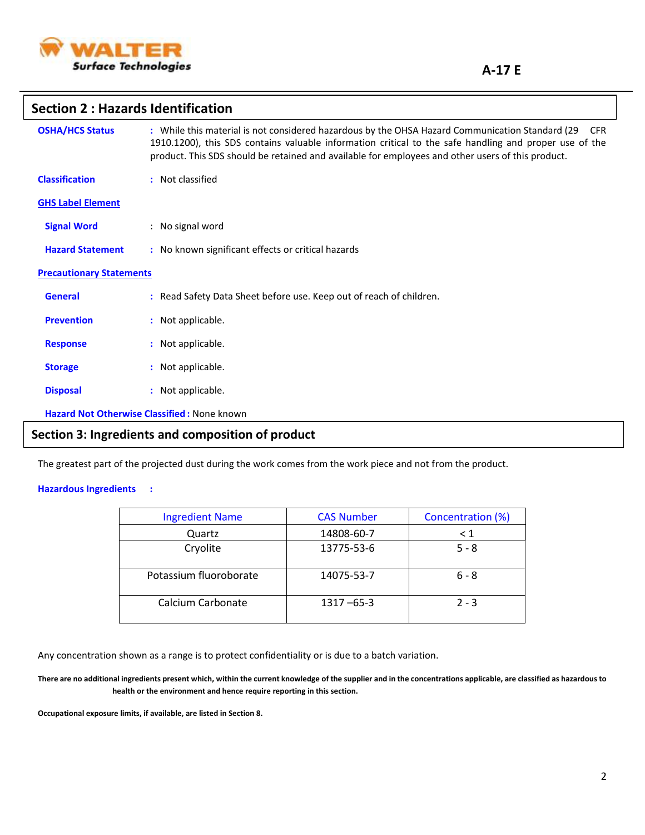

## **Section 2 : Hazards Identification**

| <b>OSHA/HCS Status</b>          | : While this material is not considered hazardous by the OHSA Hazard Communication Standard (29)<br><b>CFR</b><br>1910.1200), this SDS contains valuable information critical to the safe handling and proper use of the<br>product. This SDS should be retained and available for employees and other users of this product. |
|---------------------------------|-------------------------------------------------------------------------------------------------------------------------------------------------------------------------------------------------------------------------------------------------------------------------------------------------------------------------------|
| <b>Classification</b>           | : Not classified                                                                                                                                                                                                                                                                                                              |
| <b>GHS Label Element</b>        |                                                                                                                                                                                                                                                                                                                               |
| <b>Signal Word</b>              | : No signal word                                                                                                                                                                                                                                                                                                              |
| <b>Hazard Statement</b>         | : No known significant effects or critical hazards                                                                                                                                                                                                                                                                            |
| <b>Precautionary Statements</b> |                                                                                                                                                                                                                                                                                                                               |
| <b>General</b>                  | : Read Safety Data Sheet before use. Keep out of reach of children.                                                                                                                                                                                                                                                           |
| <b>Prevention</b>               | : Not applicable.                                                                                                                                                                                                                                                                                                             |
| <b>Response</b>                 | : Not applicable.                                                                                                                                                                                                                                                                                                             |
| <b>Storage</b>                  | : Not applicable.                                                                                                                                                                                                                                                                                                             |
| <b>Disposal</b>                 | : Not applicable.                                                                                                                                                                                                                                                                                                             |
|                                 | Hazard Not Otherwise Classified : None known                                                                                                                                                                                                                                                                                  |

# **Section 3: Ingredients and composition of product**

The greatest part of the projected dust during the work comes from the work piece and not from the product.

#### **Hazardous Ingredients :**

| <b>Ingredient Name</b> | <b>CAS Number</b> | Concentration (%) |
|------------------------|-------------------|-------------------|
| Quartz                 | 14808-60-7        | $\leq 1$          |
| Cryolite               | 13775-53-6        | $5 - 8$           |
| Potassium fluoroborate | 14075-53-7        | $6 - 8$           |
| Calcium Carbonate      | $1317 - 65 - 3$   | $2 - 3$           |

Any concentration shown as a range is to protect confidentiality or is due to a batch variation.

**There are no additional ingredients present which, within the current knowledge of the supplier and in the concentrations applicable, are classified as hazardous to health or the environment and hence require reporting in this section.**

**Occupational exposure limits, if available, are listed in Section 8.**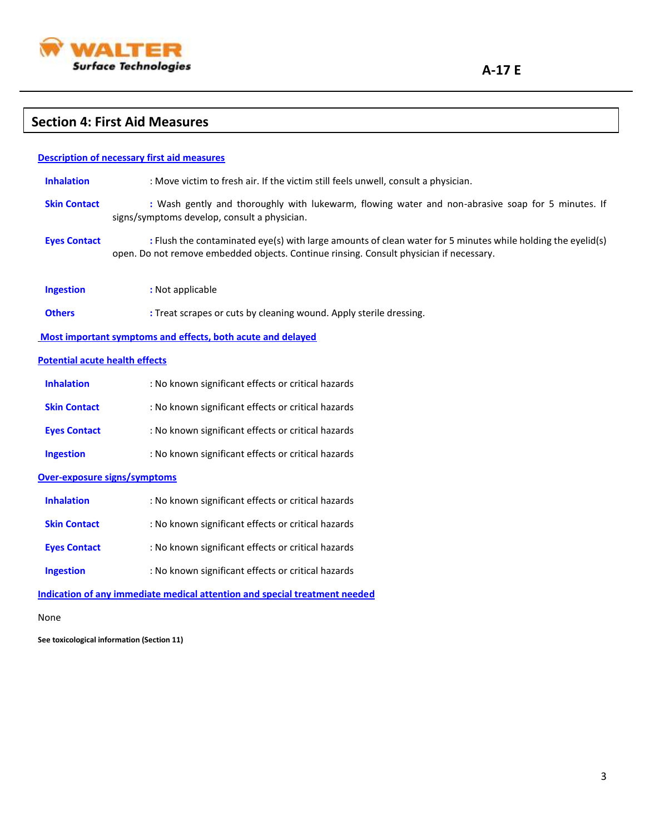

# **Section 4: First Aid Measures**

|                                       | <b>Description of necessary first aid measures</b>                                                                                                                                                     |
|---------------------------------------|--------------------------------------------------------------------------------------------------------------------------------------------------------------------------------------------------------|
| <b>Inhalation</b>                     | : Move victim to fresh air. If the victim still feels unwell, consult a physician.                                                                                                                     |
| <b>Skin Contact</b>                   | : Wash gently and thoroughly with lukewarm, flowing water and non-abrasive soap for 5 minutes. If<br>signs/symptoms develop, consult a physician.                                                      |
| <b>Eyes Contact</b>                   | : Flush the contaminated eye(s) with large amounts of clean water for 5 minutes while holding the eyelid(s)<br>open. Do not remove embedded objects. Continue rinsing. Consult physician if necessary. |
| <b>Ingestion</b>                      | : Not applicable                                                                                                                                                                                       |
| <b>Others</b>                         | : Treat scrapes or cuts by cleaning wound. Apply sterile dressing.                                                                                                                                     |
|                                       | Most important symptoms and effects, both acute and delayed                                                                                                                                            |
| <b>Potential acute health effects</b> |                                                                                                                                                                                                        |
| <b>Inhalation</b>                     | : No known significant effects or critical hazards                                                                                                                                                     |
| <b>Skin Contact</b>                   | : No known significant effects or critical hazards                                                                                                                                                     |
| <b>Eyes Contact</b>                   | : No known significant effects or critical hazards                                                                                                                                                     |
| <b>Ingestion</b>                      | : No known significant effects or critical hazards                                                                                                                                                     |
|                                       | <b>Over-exposure signs/symptoms</b>                                                                                                                                                                    |
| <b>Inhalation</b>                     | : No known significant effects or critical hazards                                                                                                                                                     |
| <b>Skin Contact</b>                   | : No known significant effects or critical hazards                                                                                                                                                     |
| <b>Eyes Contact</b>                   | : No known significant effects or critical hazards                                                                                                                                                     |
| <b>Ingestion</b>                      | : No known significant effects or critical hazards                                                                                                                                                     |
|                                       | Indication of any immediate medical attention and special treatment needed                                                                                                                             |
|                                       |                                                                                                                                                                                                        |

None

**See toxicological information (Section 11)**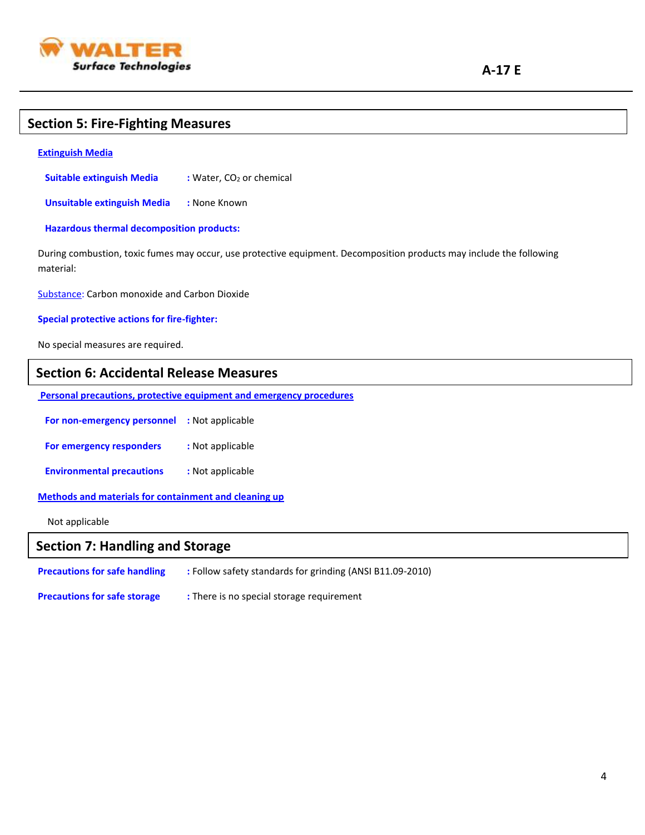

# **Section 5: Fire-Fighting Measures**

#### **Extinguish Media**

**Suitable extinguish Media** : Water, CO<sub>2</sub> or chemical

 **Unsuitable extinguish Media :** None Known

 **Hazardous thermal decomposition products:**

During combustion, toxic fumes may occur, use protective equipment. Decomposition products may include the following material:

Substance: Carbon monoxide and Carbon Dioxide

#### **Special protective actions for fire-fighter:**

No special measures are required.

#### **Section 6: Accidental Release Measures**

**Personal precautions, protective equipment and emergency procedures**

 **For non-emergency personnel :** Not applicable

**For emergency responders** : Not applicable

 **Environmental precautions :** Not applicable

**Methods and materials for containment and cleaning up**

Not applicable

# **Section 7: Handling and Storage**

| <b>Precautions for safe handling</b> | : Follow safety standards for grinding (ANSI B11.09-2010) |
|--------------------------------------|-----------------------------------------------------------|
| <b>Precautions for safe storage</b>  | : There is no special storage requirement                 |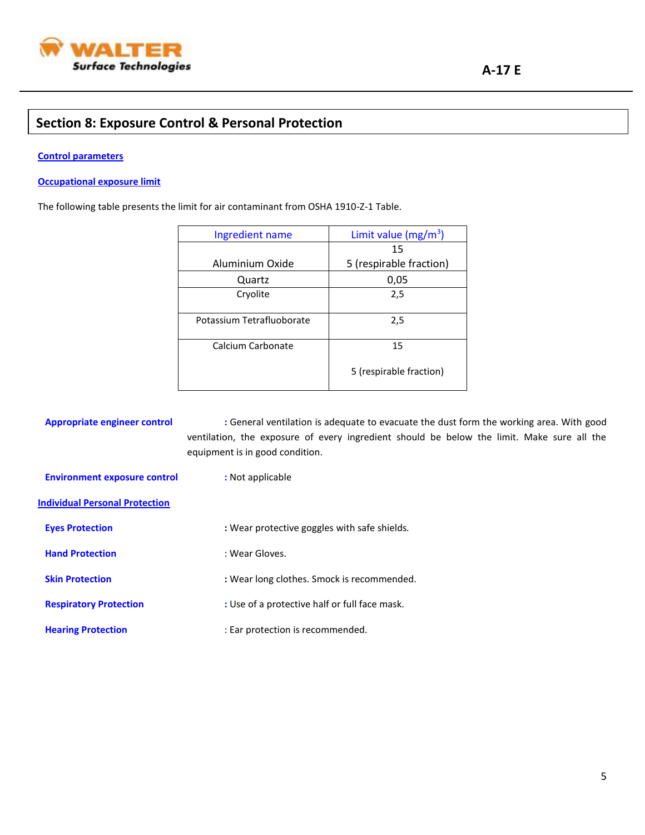

# **Section 8: Exposure Control & Personal Protection**

#### **Control parameters**

#### **Occupational exposure limit**

The following table presents the limit for air contaminant from OSHA 1910-Z-1 Table.

| Ingredient name           | Limit value $(mg/m^3)$  |
|---------------------------|-------------------------|
|                           | 15                      |
| Aluminium Oxide           | 5 (respirable fraction) |
| Quartz                    | 0,05                    |
| Cryolite                  | 2,5                     |
|                           |                         |
| Potassium Tetrafluoborate | 2,5                     |
|                           |                         |
| Calcium Carbonate         | 15                      |
|                           | 5 (respirable fraction) |

 **Appropriate engineer control :** General ventilation is adequate to evacuate the dust form the working area. With good ventilation, the exposure of every ingredient should be below the limit. Make sure all the equipment is in good condition.

 **Environment exposure control :** Not applicable

#### **Individual Personal Protection**

| <b>Eves Protection</b>        | : Wear protective goggles with safe shields.  |
|-------------------------------|-----------------------------------------------|
| <b>Hand Protection</b>        | : Wear Gloves.                                |
| <b>Skin Protection</b>        | : Wear long clothes. Smock is recommended.    |
| <b>Respiratory Protection</b> | : Use of a protective half or full face mask. |
| <b>Hearing Protection</b>     | : Ear protection is recommended.              |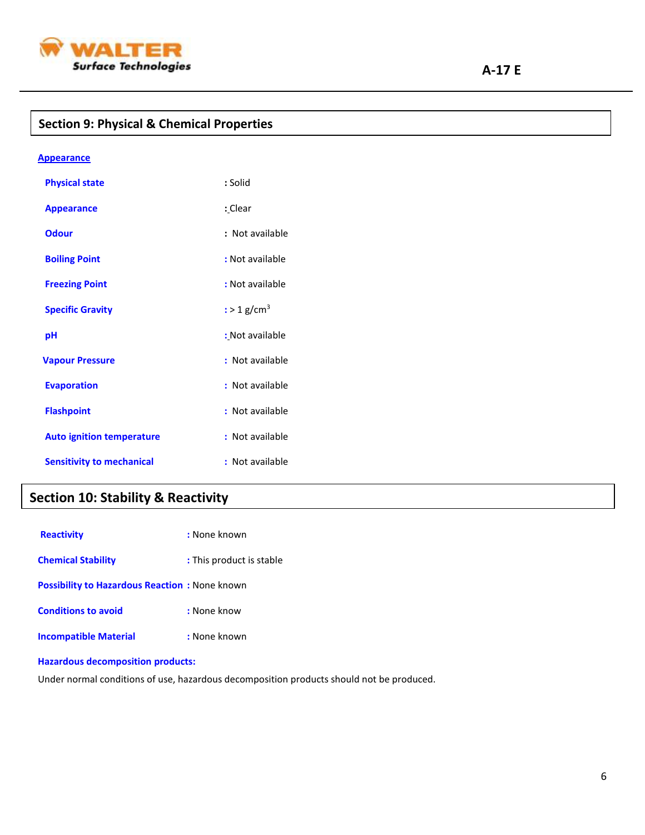

# **Section 9: Physical & Chemical Properties**

| <b>Appearance</b>                |                           |
|----------------------------------|---------------------------|
| <b>Physical state</b>            | : Solid                   |
| <b>Appearance</b>                | : Clear                   |
| Odour                            | : Not available           |
| <b>Boiling Point</b>             | : Not available           |
| <b>Freezing Point</b>            | : Not available           |
| <b>Specific Gravity</b>          | $:$ > 1 g/cm <sup>3</sup> |
| рH                               | : Not available           |
| <b>Vapour Pressure</b>           | : Not available           |
| <b>Evaporation</b>               | : Not available           |
| <b>Flashpoint</b>                | : Not available           |
| <b>Auto ignition temperature</b> | : Not available           |
| <b>Sensitivity to mechanical</b> | Not available             |

# **Section 10: Stability & Reactivity**

| <b>Reactivity</b>                                    | : None known             |
|------------------------------------------------------|--------------------------|
| <b>Chemical Stability</b>                            | : This product is stable |
| <b>Possibility to Hazardous Reaction:</b> None known |                          |
| <b>Conditions to avoid</b>                           | : None know              |
| <b>Incompatible Material</b>                         | : None known             |

#### **Hazardous decomposition products:**

Under normal conditions of use, hazardous decomposition products should not be produced.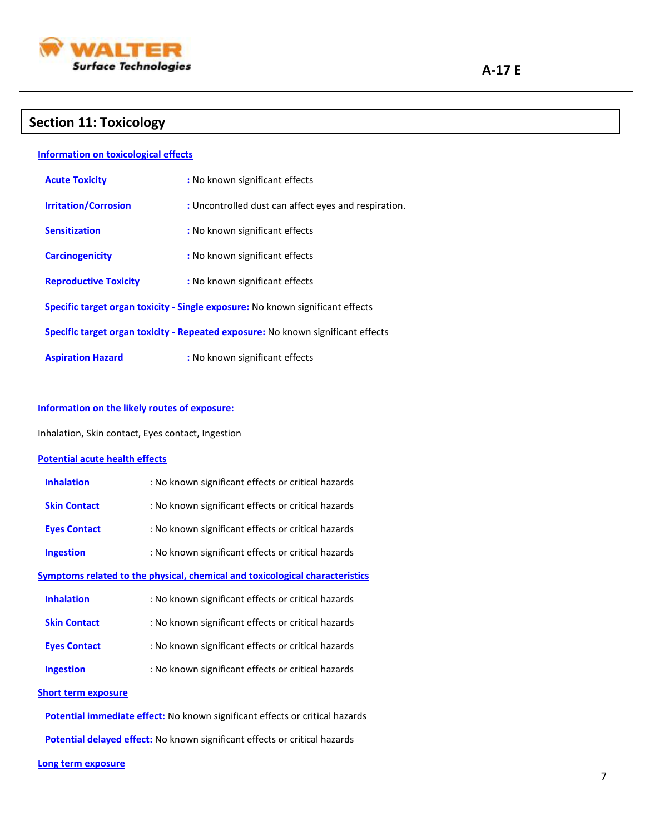

# **Section 11: Toxicology**

#### **Information on toxicological effects**

| <b>Acute Toxicity</b>                                                            | : No known significant effects                       |  |
|----------------------------------------------------------------------------------|------------------------------------------------------|--|
| <b>Irritation/Corrosion</b>                                                      | : Uncontrolled dust can affect eyes and respiration. |  |
| <b>Sensitization</b>                                                             | : No known significant effects                       |  |
| <b>Carcinogenicity</b>                                                           | : No known significant effects                       |  |
| <b>Reproductive Toxicity</b>                                                     | : No known significant effects                       |  |
| Specific target organ toxicity - Single exposure: No known significant effects   |                                                      |  |
| Specific target organ toxicity - Repeated exposure: No known significant effects |                                                      |  |
| <b>Aspiration Hazard</b>                                                         | : No known significant effects                       |  |

#### **Information on the likely routes of exposure:**

Inhalation, Skin contact, Eyes contact, Ingestion

#### **Potential acute health effects**

| <b>Inhalation</b>   | : No known significant effects or critical hazards                                  |
|---------------------|-------------------------------------------------------------------------------------|
| <b>Skin Contact</b> | : No known significant effects or critical hazards                                  |
| <b>Eyes Contact</b> | : No known significant effects or critical hazards                                  |
| <b>Ingestion</b>    | : No known significant effects or critical hazards                                  |
|                     | <b>Symptoms related to the physical, chemical and toxicological characteristics</b> |
| <b>Inhalation</b>   | : No known significant effects or critical hazards                                  |
| <b>Skin Contact</b> | : No known significant effects or critical hazards                                  |
| <b>Eyes Contact</b> | : No known significant effects or critical hazards                                  |
| <b>Ingestion</b>    | : No known significant effects or critical hazards                                  |
|                     |                                                                                     |

#### **Short term exposure**

 **Potential immediate effect:** No known significant effects or critical hazards

 **Potential delayed effect:** No known significant effects or critical hazards

#### **Long term exposure**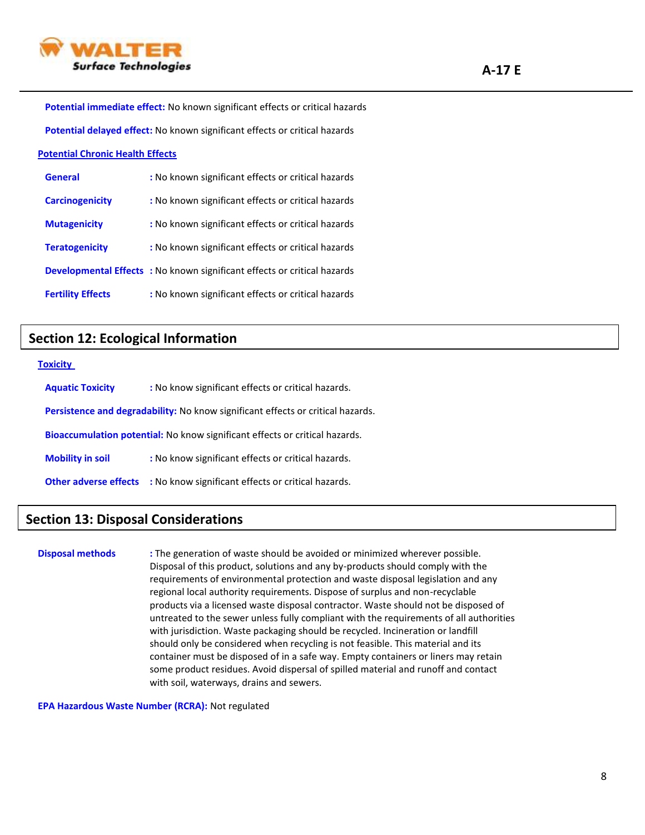

 **Potential immediate effect:** No known significant effects or critical hazards

 **Potential delayed effect:** No known significant effects or critical hazards

#### **Potential Chronic Health Effects**

| General                  | : No known significant effects or critical hazards                              |
|--------------------------|---------------------------------------------------------------------------------|
| <b>Carcinogenicity</b>   | : No known significant effects or critical hazards                              |
| <b>Mutagenicity</b>      | : No known significant effects or critical hazards                              |
| <b>Teratogenicity</b>    | : No known significant effects or critical hazards                              |
|                          | <b>Developmental Effects :</b> No known significant effects or critical hazards |
| <b>Fertility Effects</b> | : No known significant effects or critical hazards                              |

## **Section 12: Ecological Information**

#### **Toxicity**

| <b>Aquatic Toxicity</b>                                                                | : No know significant effects or critical hazards. |  |
|----------------------------------------------------------------------------------------|----------------------------------------------------|--|
| <b>Persistence and degradability:</b> No know significant effects or critical hazards. |                                                    |  |
| <b>Bioaccumulation potential:</b> No know significant effects or critical hazards.     |                                                    |  |
| <b>Mobility in soil</b>                                                                | : No know significant effects or critical hazards. |  |
| <b>Other adverse effects</b>                                                           | : No know significant effects or critical hazards. |  |

# **Section 13: Disposal Considerations**

**Disposal methods :** The generation of waste should be avoided or minimized wherever possible. Disposal of this product, solutions and any by-products should comply with the requirements of environmental protection and waste disposal legislation and any regional local authority requirements. Dispose of surplus and non-recyclable products via a licensed waste disposal contractor. Waste should not be disposed of untreated to the sewer unless fully compliant with the requirements of all authorities with jurisdiction. Waste packaging should be recycled. Incineration or landfill should only be considered when recycling is not feasible. This material and its container must be disposed of in a safe way. Empty containers or liners may retain some product residues. Avoid dispersal of spilled material and runoff and contact with soil, waterways, drains and sewers.

**EPA Hazardous Waste Number (RCRA):** Not regulated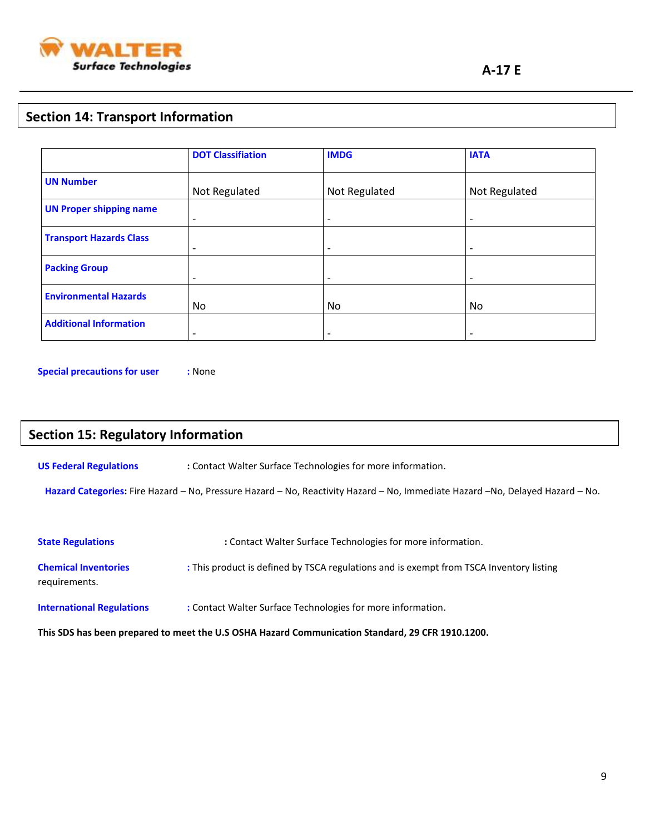

# **Section 14: Transport Information**

|                                | <b>DOT Classifiation</b> | <b>IMDG</b>              | <b>IATA</b>              |
|--------------------------------|--------------------------|--------------------------|--------------------------|
| <b>UN Number</b>               | Not Regulated            | Not Regulated            | Not Regulated            |
| <b>UN Proper shipping name</b> | $\overline{\phantom{a}}$ | $\overline{\phantom{a}}$ | $\overline{\phantom{a}}$ |
| <b>Transport Hazards Class</b> | $\overline{\phantom{0}}$ | $\overline{\phantom{a}}$ | $\overline{\phantom{0}}$ |
| <b>Packing Group</b>           | $\qquad \qquad$          |                          | $\overline{\phantom{a}}$ |
| <b>Environmental Hazards</b>   | No                       | <b>No</b>                | No.                      |
| <b>Additional Information</b>  | $\qquad \qquad$          | $\overline{\phantom{a}}$ | $\overline{\phantom{a}}$ |

**Special precautions for user :** None

# **Section 15: Regulatory Information**

**US Federal Regulations :** Contact Walter Surface Technologies for more information.

 **Hazard Categories:** Fire Hazard – No, Pressure Hazard – No, Reactivity Hazard – No, Immediate Hazard –No, Delayed Hazard – No.

| <b>State Regulations</b>                                                                         | : Contact Walter Surface Technologies for more information.                             |  |
|--------------------------------------------------------------------------------------------------|-----------------------------------------------------------------------------------------|--|
| <b>Chemical Inventories</b><br>requirements.                                                     | : This product is defined by TSCA regulations and is exempt from TSCA Inventory listing |  |
| <b>International Regulations</b>                                                                 | : Contact Walter Surface Technologies for more information.                             |  |
| This SDS has been prepared to meet the U.S OSHA Hazard Communication Standard, 29 CFR 1910.1200. |                                                                                         |  |